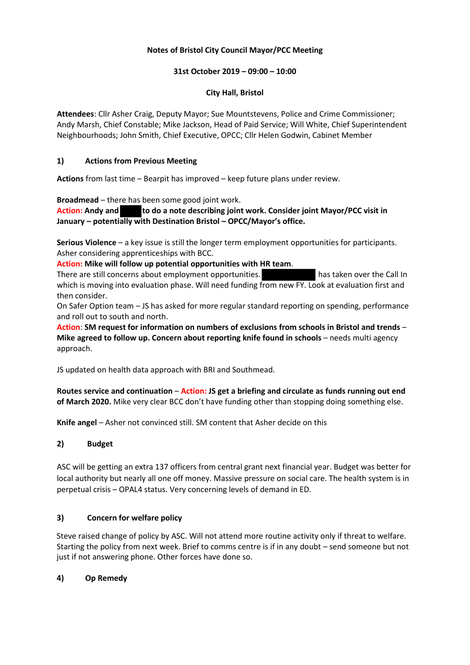# **Notes of Bristol City Council Mayor/PCC Meeting**

# **31st October 2019 – 09:00 – 10:00**

### **City Hall, Bristol**

**Attendees**: Cllr Asher Craig, Deputy Mayor; Sue Mountstevens, Police and Crime Commissioner; Andy Marsh, Chief Constable; Mike Jackson, Head of Paid Service; Will White, Chief Superintendent Neighbourhoods; John Smith, Chief Executive, OPCC; Cllr Helen Godwin, Cabinet Member

### **1) Actions from Previous Meeting**

**Actions** from last time – Bearpit has improved – keep future plans under review.

**Broadmead** – there has been some good joint work.

**Action:** Andy and to do a note describing joint work. Consider joint Mayor/PCC visit in **January – potentially with Destination Bristol – OPCC/Mayor's office.**

**Serious Violence** – a key issue is still the longer term employment opportunities for participants. Asher considering apprenticeships with BCC.

**Action: Mike will follow up potential opportunities with HR team**.

There are still concerns about employment opportunities. has taken over the Call In which is moving into evaluation phase. Will need funding from new FY. Look at evaluation first and then consider.

On Safer Option team – JS has asked for more regular standard reporting on spending, performance and roll out to south and north.

**Action**: **SM request for information on numbers of exclusions from schools in Bristol and trends** – **Mike agreed to follow up. Concern about reporting knife found in schools** – needs multi agency approach.

JS updated on health data approach with BRI and Southmead.

**Routes service and continuation** – **Action: JS get a briefing and circulate as funds running out end of March 2020.** Mike very clear BCC don't have funding other than stopping doing something else.

**Knife angel** – Asher not convinced still. SM content that Asher decide on this

# **2) Budget**

ASC will be getting an extra 137 officers from central grant next financial year. Budget was better for local authority but nearly all one off money. Massive pressure on social care. The health system is in perpetual crisis – OPAL4 status. Very concerning levels of demand in ED.

# **3) Concern for welfare policy**

Steve raised change of policy by ASC. Will not attend more routine activity only if threat to welfare. Starting the policy from next week. Brief to comms centre is if in any doubt – send someone but not just if not answering phone. Other forces have done so.

# **4) Op Remedy**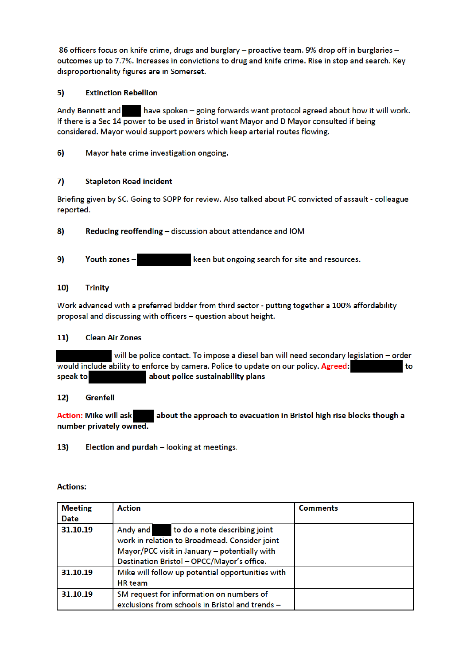86 officers focus on knife crime, drugs and burglary - proactive team. 9% drop off in burglaries outcomes up to 7.7%. Increases in convictions to drug and knife crime. Rise in stop and search. Key disproportionality figures are in Somerset.

### 5) **Extinction Rebellion**

**Andy Bennett and** have spoken - going forwards want protocol agreed about how it will work. If there is a Sec 14 power to be used in Bristol want Mayor and D Mayor consulted if being considered. Mayor would support powers which keep arterial routes flowing.

 $6)$ Mayor hate crime investigation ongoing.

### $7)$ **Stapleton Road incident**

Briefing given by SC. Going to SOPP for review. Also talked about PC convicted of assault - colleague reported.

- 8) Reducing reoffending - discussion about attendance and IOM
- 9) Youth zones keen but ongoing search for site and resources.

### $10)$ **Trinity**

Work advanced with a preferred bidder from third sector - putting together a 100% affordability proposal and discussing with officers - question about height.

#### $11)$ **Clean Air Zones**

will be police contact. To impose a diesel ban will need secondary legislation - order would include ability to enforce by camera. Police to update on our policy. Agreed: to speak to about police sustainability plans

#### $12)$ Grenfell

**Action: Mike will ask** about the approach to evacuation in Bristol high rise blocks though a number privately owned.

 $13)$ Election and purdah - looking at meetings.

### **Actions:**

| <b>Meeting</b> | <b>Action</b>                                                                              | <b>Comments</b> |
|----------------|--------------------------------------------------------------------------------------------|-----------------|
| <b>Date</b>    |                                                                                            |                 |
| 31.10.19       | Andy and<br>to do a note describing joint<br>work in relation to Broadmead. Consider joint |                 |
|                | Mayor/PCC visit in January - potentially with                                              |                 |
|                |                                                                                            |                 |
|                | Destination Bristol - OPCC/Mayor's office.                                                 |                 |
| 31.10.19       | Mike will follow up potential opportunities with                                           |                 |
|                | <b>HR</b> team                                                                             |                 |
| 31.10.19       | SM request for information on numbers of                                                   |                 |
|                | exclusions from schools in Bristol and trends -                                            |                 |